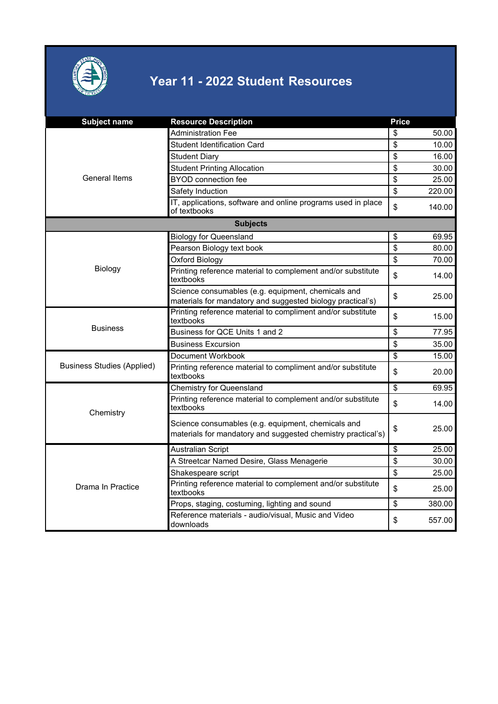

| <b>Subject name</b>               | <b>Resource Description</b>                                                                                        | <b>Price</b>    |        |
|-----------------------------------|--------------------------------------------------------------------------------------------------------------------|-----------------|--------|
|                                   | Administration Fee                                                                                                 | \$              | 50.00  |
|                                   | <b>Student Identification Card</b>                                                                                 | \$              | 10.00  |
|                                   | <b>Student Diary</b>                                                                                               | \$              | 16.00  |
| General Items                     | <b>Student Printing Allocation</b>                                                                                 | \$              | 30.00  |
|                                   | <b>BYOD</b> connection fee                                                                                         | \$              | 25.00  |
|                                   | Safety Induction                                                                                                   | \$              | 220.00 |
|                                   | IT, applications, software and online programs used in place<br>of textbooks                                       | \$              | 140.00 |
|                                   | <b>Subjects</b>                                                                                                    |                 |        |
|                                   | <b>Biology for Queensland</b>                                                                                      | \$              | 69.95  |
|                                   | Pearson Biology text book                                                                                          | \$              | 80.00  |
|                                   | Oxford Biology                                                                                                     | \$              | 70.00  |
| Biology                           | Printing reference material to complement and/or substitute<br>textbooks                                           | \$              | 14.00  |
|                                   | Science consumables (e.g. equipment, chemicals and<br>materials for mandatory and suggested biology practical's)   | \$              | 25.00  |
|                                   | Printing reference material to compliment and/or substitute<br>textbooks                                           | \$              | 15.00  |
| <b>Business</b>                   | Business for QCE Units 1 and 2                                                                                     | \$              | 77.95  |
|                                   | <b>Business Excursion</b>                                                                                          | \$              | 35.00  |
|                                   | Document Workbook                                                                                                  | \$              | 15.00  |
| <b>Business Studies (Applied)</b> | Printing reference material to compliment and/or substitute<br>textbooks                                           | \$              | 20.00  |
|                                   | <b>Chemistry for Queensland</b>                                                                                    | $\overline{\$}$ | 69.95  |
| Chemistry                         | Printing reference material to complement and/or substitute<br>textbooks                                           | \$              | 14.00  |
|                                   | Science consumables (e.g. equipment, chemicals and<br>materials for mandatory and suggested chemistry practical's) | \$              | 25.00  |
|                                   | <b>Australian Script</b>                                                                                           | \$              | 25.00  |
|                                   | A Streetcar Named Desire, Glass Menagerie                                                                          | \$              | 30.00  |
| Drama In Practice                 | Shakespeare script                                                                                                 | \$              | 25.00  |
|                                   | Printing reference material to complement and/or substitute<br>textbooks                                           | \$              | 25.00  |
|                                   | Props, staging, costuming, lighting and sound                                                                      | \$              | 380.00 |
|                                   | Reference materials - audio/visual, Music and Video<br>downloads                                                   | \$              | 557.00 |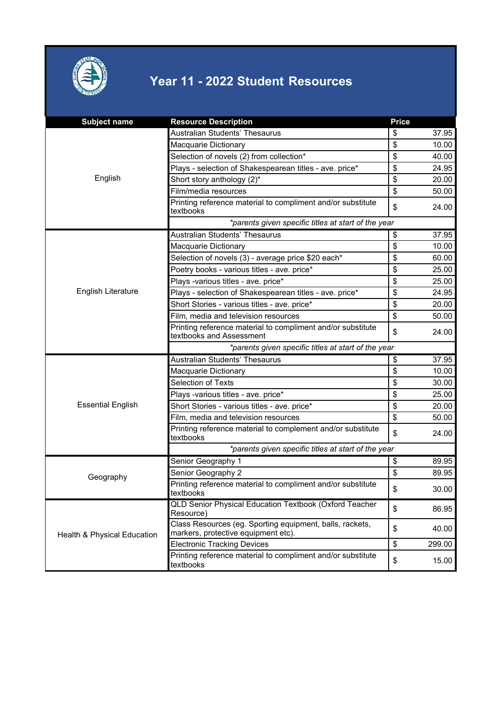

| <b>Subject name</b>         | <b>Resource Description</b>                                                                     | <b>Price</b> |        |  |
|-----------------------------|-------------------------------------------------------------------------------------------------|--------------|--------|--|
| English                     | Australian Students' Thesaurus                                                                  | \$           | 37.95  |  |
|                             | Macquarie Dictionary                                                                            | \$           | 10.00  |  |
|                             | Selection of novels (2) from collection*                                                        | \$           | 40.00  |  |
|                             | Plays - selection of Shakespearean titles - ave. price*                                         | \$           | 24.95  |  |
|                             | Short story anthology (2)*                                                                      | \$           | 20.00  |  |
|                             | Film/media resources                                                                            | \$           | 50.00  |  |
|                             | Printing reference material to compliment and/or substitute<br>textbooks                        | \$           | 24.00  |  |
|                             | *parents given specific titles at start of the year                                             |              |        |  |
|                             | Australian Students' Thesaurus                                                                  | \$           | 37.95  |  |
|                             | Macquarie Dictionary                                                                            | \$           | 10.00  |  |
|                             | Selection of novels (3) - average price \$20 each*                                              | \$           | 60.00  |  |
|                             | Poetry books - various titles - ave. price*                                                     | \$           | 25.00  |  |
|                             | Plays -various titles - ave. price*                                                             | \$           | 25.00  |  |
| English Literature          | Plays - selection of Shakespearean titles - ave. price*                                         | \$           | 24.95  |  |
|                             | Short Stories - various titles - ave. price*                                                    | \$           | 20.00  |  |
|                             | Film, media and television resources                                                            | \$           | 50.00  |  |
|                             | Printing reference material to compliment and/or substitute<br>textbooks and Assessment         | \$           | 24.00  |  |
|                             | *parents given specific titles at start of the year                                             |              |        |  |
|                             | Australian Students' Thesaurus                                                                  | \$           | 37.95  |  |
|                             | Macquarie Dictionary                                                                            | \$           | 10.00  |  |
|                             | Selection of Texts                                                                              | \$           | 30.00  |  |
|                             | Plays -various titles - ave. price*                                                             | \$           | 25.00  |  |
| <b>Essential English</b>    | Short Stories - various titles - ave. price*                                                    | \$           | 20.00  |  |
|                             | Film, media and television resources                                                            | \$           | 50.00  |  |
|                             | Printing reference material to complement and/or substitute<br>textbooks                        | \$           | 24.00  |  |
|                             | *parents given specific titles at start of the year                                             |              |        |  |
|                             | Senior Geography 1                                                                              | \$           | 89.95  |  |
| Geography                   | Senior Geography 2                                                                              | \$           | 89.95  |  |
|                             | Printing reference material to compliment and/or substitute<br>textbooks                        | \$           | 30.00  |  |
| Health & Physical Education | QLD Senior Physical Education Textbook (Oxford Teacher<br>Resource)                             | \$           | 86.95  |  |
|                             | Class Resources (eg. Sporting equipment, balls, rackets,<br>markers, protective equipment etc). | \$           | 40.00  |  |
|                             | <b>Electronic Tracking Devices</b>                                                              | \$           | 299.00 |  |
|                             | Printing reference material to compliment and/or substitute<br>textbooks                        | \$           | 15.00  |  |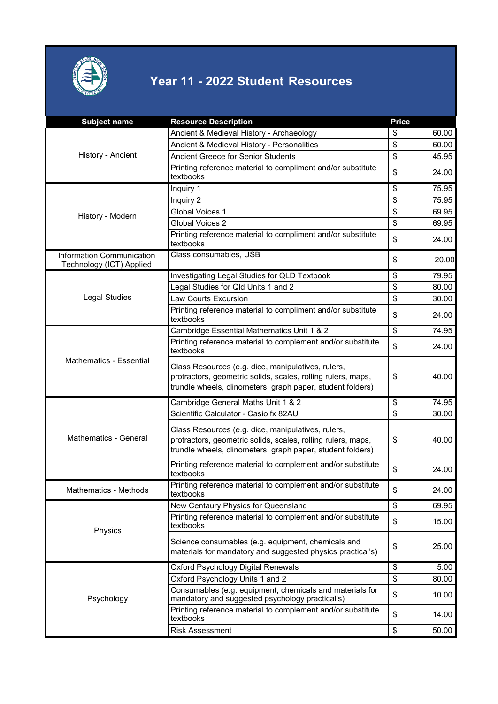

| <b>Subject name</b>                                          | <b>Resource Description</b>                                                                                                                                                      | <b>Price</b> |       |
|--------------------------------------------------------------|----------------------------------------------------------------------------------------------------------------------------------------------------------------------------------|--------------|-------|
| History - Ancient                                            | Ancient & Medieval History - Archaeology                                                                                                                                         | \$           | 60.00 |
|                                                              | Ancient & Medieval History - Personalities                                                                                                                                       | \$           | 60.00 |
|                                                              | <b>Ancient Greece for Senior Students</b>                                                                                                                                        | \$           | 45.95 |
|                                                              | Printing reference material to compliment and/or substitute<br>textbooks                                                                                                         | \$           | 24.00 |
| History - Modern                                             | Inquiry 1                                                                                                                                                                        | \$           | 75.95 |
|                                                              | Inquiry 2                                                                                                                                                                        | \$           | 75.95 |
|                                                              | Global Voices 1                                                                                                                                                                  | \$           | 69.95 |
|                                                              | Global Voices 2                                                                                                                                                                  | \$           | 69.95 |
|                                                              | Printing reference material to compliment and/or substitute<br>textbooks                                                                                                         | \$           | 24.00 |
| <b>Information Communication</b><br>Technology (ICT) Applied | Class consumables, USB                                                                                                                                                           | \$           | 20.00 |
|                                                              | Investigating Legal Studies for QLD Textbook                                                                                                                                     | \$           | 79.95 |
|                                                              | Legal Studies for Qld Units 1 and 2                                                                                                                                              | \$           | 80.00 |
| <b>Legal Studies</b>                                         | <b>Law Courts Excursion</b>                                                                                                                                                      | \$           | 30.00 |
|                                                              | Printing reference material to compliment and/or substitute<br>textbooks                                                                                                         | \$           | 24.00 |
|                                                              | Cambridge Essential Mathematics Unit 1 & 2                                                                                                                                       | \$           | 74.95 |
| <b>Mathematics - Essential</b>                               | Printing reference material to complement and/or substitute<br>textbooks                                                                                                         | \$           | 24.00 |
|                                                              | Class Resources (e.g. dice, manipulatives, rulers,<br>protractors, geometric solids, scales, rolling rulers, maps,<br>trundle wheels, clinometers, graph paper, student folders) | \$           | 40.00 |
|                                                              | Cambridge General Maths Unit 1 & 2                                                                                                                                               | \$           | 74.95 |
|                                                              | Scientific Calculator - Casio fx 82AU                                                                                                                                            | \$           | 30.00 |
| Mathematics - General                                        | Class Resources (e.g. dice, manipulatives, rulers,<br>protractors, geometric solids, scales, rolling rulers, maps,<br>trundle wheels, clinometers, graph paper, student folders) | \$           | 40.00 |
|                                                              | Printing reference material to complement and/or substitute<br>textbooks                                                                                                         | \$           | 24.00 |
| Mathematics - Methods                                        | Printing reference material to complement and/or substitute<br>textbooks                                                                                                         | \$           | 24.00 |
|                                                              | New Centaury Physics for Queensland                                                                                                                                              | \$           | 69.95 |
| Physics                                                      | Printing reference material to complement and/or substitute<br>textbooks                                                                                                         | \$           | 15.00 |
|                                                              | Science consumables (e.g. equipment, chemicals and<br>materials for mandatory and suggested physics practical's)                                                                 | \$           | 25.00 |
|                                                              | Oxford Psychology Digital Renewals                                                                                                                                               | \$           | 5.00  |
| Psychology                                                   | Oxford Psychology Units 1 and 2                                                                                                                                                  | \$           | 80.00 |
|                                                              | Consumables (e.g. equipment, chemicals and materials for<br>mandatory and suggested psychology practical's)                                                                      | \$           | 10.00 |
|                                                              | Printing reference material to complement and/or substitute<br>textbooks                                                                                                         | \$           | 14.00 |
|                                                              | <b>Risk Assessment</b>                                                                                                                                                           | \$           | 50.00 |